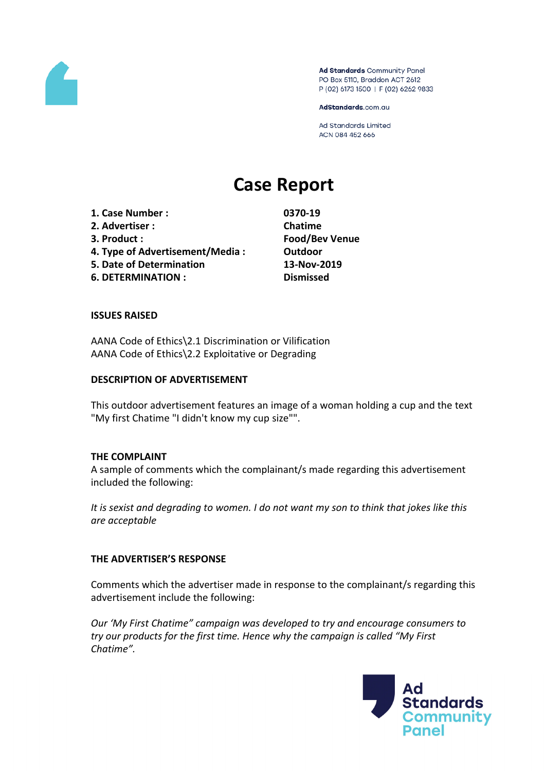

Ad Standards Community Panel PO Box 5110, Braddon ACT 2612 P (02) 6173 1500 | F (02) 6262 9833

AdStandards.com.au

Ad Standards Limited ACN 084 452 666

# **Case Report**

**1. Case Number : 0370-19 2. Advertiser : Chatime 3. Product : Food/Bev Venue 4. Type of Advertisement/Media : Outdoor 5. Date of Determination 13-Nov-2019**

**6. DETERMINATION : Dismissed**

## **ISSUES RAISED**

AANA Code of Ethics\2.1 Discrimination or Vilification AANA Code of Ethics\2.2 Exploitative or Degrading

#### **DESCRIPTION OF ADVERTISEMENT**

This outdoor advertisement features an image of a woman holding a cup and the text "My first Chatime "I didn't know my cup size"".

### **THE COMPLAINT**

A sample of comments which the complainant/s made regarding this advertisement included the following:

*It is sexist and degrading to women. I do not want my son to think that jokes like this are acceptable*

#### **THE ADVERTISER'S RESPONSE**

Comments which the advertiser made in response to the complainant/s regarding this advertisement include the following:

*Our 'My First Chatime" campaign was developed to try and encourage consumers to try our products for the first time. Hence why the campaign is called "My First Chatime".*

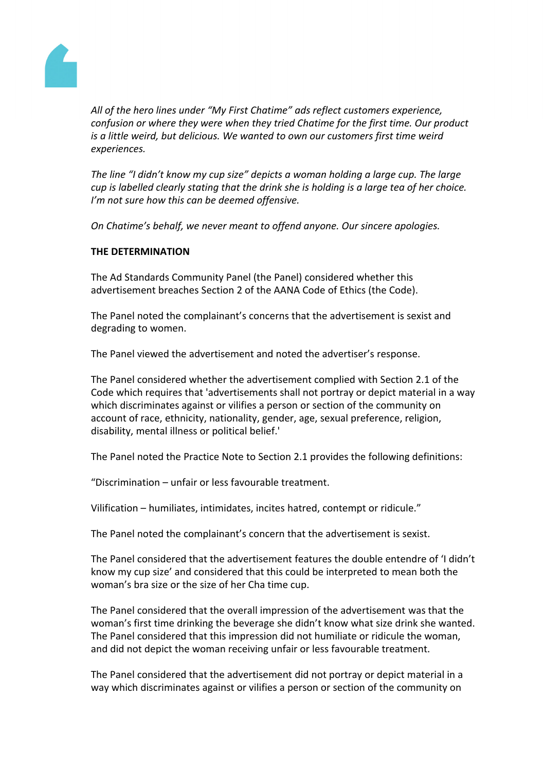

*All of the hero lines under "My First Chatime" ads reflect customers experience, confusion or where they were when they tried Chatime for the first time. Our product is a little weird, but delicious. We wanted to own our customers first time weird experiences.*

*The line "I didn't know my cup size" depicts a woman holding a large cup. The large cup is labelled clearly stating that the drink she is holding is a large tea of her choice. I'm not sure how this can be deemed offensive.*

*On Chatime's behalf, we never meant to offend anyone. Our sincere apologies.*

# **THE DETERMINATION**

The Ad Standards Community Panel (the Panel) considered whether this advertisement breaches Section 2 of the AANA Code of Ethics (the Code).

The Panel noted the complainant's concerns that the advertisement is sexist and degrading to women.

The Panel viewed the advertisement and noted the advertiser's response.

The Panel considered whether the advertisement complied with Section 2.1 of the Code which requires that 'advertisements shall not portray or depict material in a way which discriminates against or vilifies a person or section of the community on account of race, ethnicity, nationality, gender, age, sexual preference, religion, disability, mental illness or political belief.'

The Panel noted the Practice Note to Section 2.1 provides the following definitions:

"Discrimination – unfair or less favourable treatment.

Vilification – humiliates, intimidates, incites hatred, contempt or ridicule."

The Panel noted the complainant's concern that the advertisement is sexist.

The Panel considered that the advertisement features the double entendre of 'I didn't know my cup size' and considered that this could be interpreted to mean both the woman's bra size or the size of her Cha time cup.

The Panel considered that the overall impression of the advertisement was that the woman's first time drinking the beverage she didn't know what size drink she wanted. The Panel considered that this impression did not humiliate or ridicule the woman, and did not depict the woman receiving unfair or less favourable treatment.

The Panel considered that the advertisement did not portray or depict material in a way which discriminates against or vilifies a person or section of the community on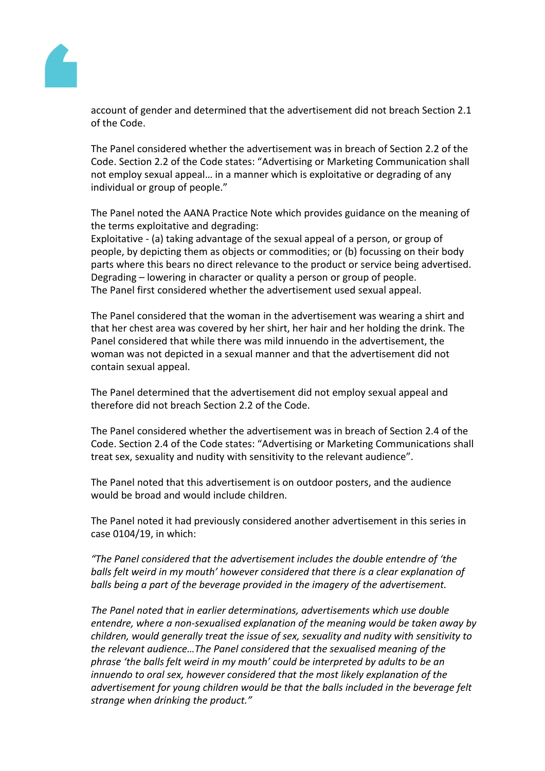

account of gender and determined that the advertisement did not breach Section 2.1 of the Code.

The Panel considered whether the advertisement was in breach of Section 2.2 of the Code. Section 2.2 of the Code states: "Advertising or Marketing Communication shall not employ sexual appeal… in a manner which is exploitative or degrading of any individual or group of people."

The Panel noted the AANA Practice Note which provides guidance on the meaning of the terms exploitative and degrading:

Exploitative - (a) taking advantage of the sexual appeal of a person, or group of people, by depicting them as objects or commodities; or (b) focussing on their body parts where this bears no direct relevance to the product or service being advertised. Degrading – lowering in character or quality a person or group of people. The Panel first considered whether the advertisement used sexual appeal.

The Panel considered that the woman in the advertisement was wearing a shirt and that her chest area was covered by her shirt, her hair and her holding the drink. The Panel considered that while there was mild innuendo in the advertisement, the woman was not depicted in a sexual manner and that the advertisement did not contain sexual appeal.

The Panel determined that the advertisement did not employ sexual appeal and therefore did not breach Section 2.2 of the Code.

The Panel considered whether the advertisement was in breach of Section 2.4 of the Code. Section 2.4 of the Code states: "Advertising or Marketing Communications shall treat sex, sexuality and nudity with sensitivity to the relevant audience".

The Panel noted that this advertisement is on outdoor posters, and the audience would be broad and would include children.

The Panel noted it had previously considered another advertisement in this series in case 0104/19, in which:

*"The Panel considered that the advertisement includes the double entendre of 'the balls felt weird in my mouth' however considered that there is a clear explanation of balls being a part of the beverage provided in the imagery of the advertisement.*

*The Panel noted that in earlier determinations, advertisements which use double entendre, where a non-sexualised explanation of the meaning would be taken away by children, would generally treat the issue of sex, sexuality and nudity with sensitivity to the relevant audience…The Panel considered that the sexualised meaning of the phrase 'the balls felt weird in my mouth' could be interpreted by adults to be an innuendo to oral sex, however considered that the most likely explanation of the advertisement for young children would be that the balls included in the beverage felt strange when drinking the product."*